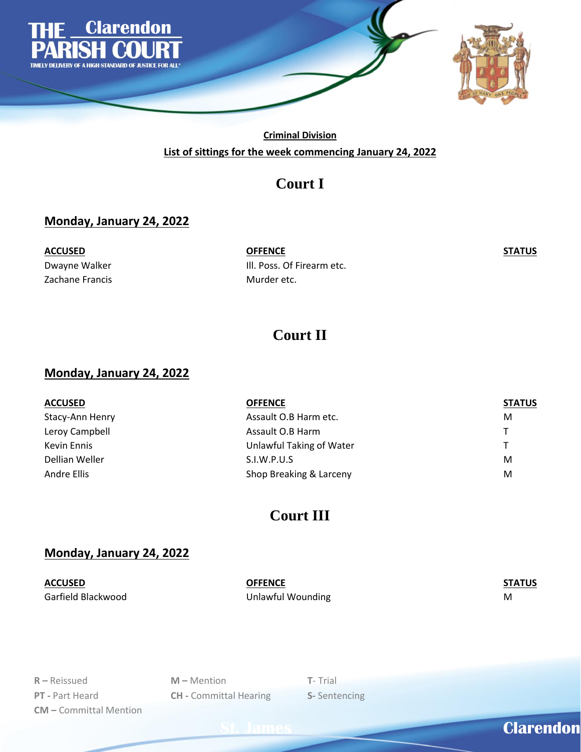

**Criminal Division List of sittings for the week commencing January 24, 2022**

## **Court I**

#### **Monday, January 24, 2022**

Zachane Francis **Murder etc.** 

**ACCUSED OFFENCE STATUS** Dwayne Walker **Ill. Poss. Of Firearm etc.** 

## **Court II**

#### **Monday, January 24, 2022**

| <b>ACCUSED</b>  | <b>OFFENCE</b>           | <b>STATUS</b> |
|-----------------|--------------------------|---------------|
| Stacy-Ann Henry | Assault O.B Harm etc.    | M             |
| Leroy Campbell  | Assault O.B Harm         | T.            |
| Kevin Ennis     | Unlawful Taking of Water | T.            |
| Dellian Weller  | S.I.W.P.U.S              | M             |
| Andre Ellis     | Shop Breaking & Larceny  | M             |

## **Court III**

#### **Monday, January 24, 2022**

**ACCUSED OFFENCE STATUS** Garfield Blackwood **Manual Community Community** Unlawful Wounding Manual Community Community Community Community

**R –** Reissued **M –** Mention **T**- Trial **PT -** Part Heard **CH -** Committal Hearing **S-** Sentencing **CM –** Committal Mention

**St. James Clarendon**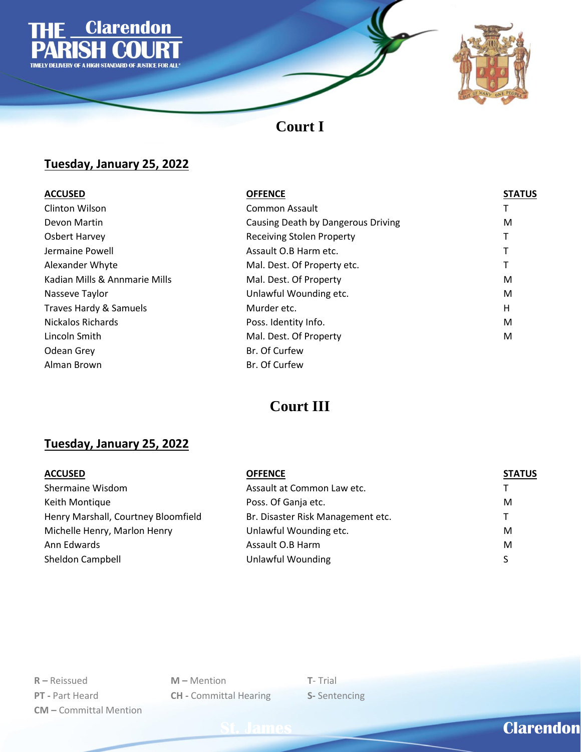



## **Court I**

### **Tuesday, January 25, 2022**

| <b>ACCUSED</b>                    | <b>OFFENCE</b>                     | <b>STATUS</b> |
|-----------------------------------|------------------------------------|---------------|
| <b>Clinton Wilson</b>             | Common Assault                     |               |
| Devon Martin                      | Causing Death by Dangerous Driving | M             |
| <b>Osbert Harvey</b>              | <b>Receiving Stolen Property</b>   |               |
| Jermaine Powell                   | Assault O.B Harm etc.              |               |
| Alexander Whyte                   | Mal. Dest. Of Property etc.        |               |
| Kadian Mills & Annmarie Mills     | Mal. Dest. Of Property             | M             |
| Nasseve Taylor                    | Unlawful Wounding etc.             | M             |
| <b>Traves Hardy &amp; Samuels</b> | Murder etc.                        | Η             |
| Nickalos Richards                 | Poss. Identity Info.               | M             |
| Lincoln Smith                     | Mal. Dest. Of Property             | M             |
| Odean Grey                        | Br. Of Curfew                      |               |
| Alman Brown                       | Br. Of Curfew                      |               |
|                                   |                                    |               |

# **Court III**

### **Tuesday, January 25, 2022**

| <b>ACCUSED</b>                      | <b>OFFENCE</b>                    | <b>STATUS</b> |
|-------------------------------------|-----------------------------------|---------------|
| Shermaine Wisdom                    | Assault at Common Law etc.        | т             |
| Keith Montique                      | Poss. Of Ganja etc.               | M             |
| Henry Marshall, Courtney Bloomfield | Br. Disaster Risk Management etc. | т             |
| Michelle Henry, Marlon Henry        | Unlawful Wounding etc.            | M             |
| Ann Edwards                         | Assault O.B Harm                  | M             |
| Sheldon Campbell                    | Unlawful Wounding                 | S.            |

**R –** Reissued **M –** Mention **T**- Trial **PT -** Part Heard **CH -** Committal Hearing **S-** Sentencing **CM –** Committal Mention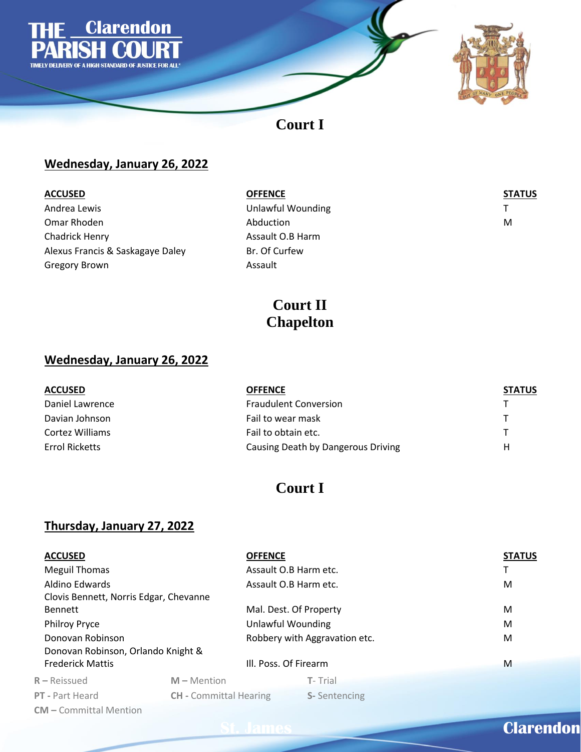

## **Court I**

### **Wednesday, January 26, 2022**

| <b>ACCUSED</b>                   | <b>OFFENCE</b>    | <b>STATUS</b> |
|----------------------------------|-------------------|---------------|
| Andrea Lewis                     | Unlawful Wounding |               |
| Omar Rhoden                      | Abduction         | M             |
| Chadrick Henry                   | Assault O.B Harm  |               |
| Alexus Francis & Saskagaye Daley | Br. Of Curfew     |               |
| <b>Gregory Brown</b>             | Assault           |               |

## **Court II Chapelton**

### **Wednesday, January 26, 2022**

| <b>ACCUSED</b>  | <b>OFFENCE</b>                     | <b>STATUS</b> |
|-----------------|------------------------------------|---------------|
| Daniel Lawrence | <b>Fraudulent Conversion</b>       |               |
| Davian Johnson  | Fail to wear mask                  |               |
| Cortez Williams | Fail to obtain etc.                |               |
| Errol Ricketts  | Causing Death by Dangerous Driving | н             |

## **Court I**

### **Thursday, January 27, 2022**

| <b>ACCUSED</b>                         |                               | <b>OFFENCE</b>                | <b>STATUS</b> |
|----------------------------------------|-------------------------------|-------------------------------|---------------|
| Meguil Thomas                          |                               | Assault O.B Harm etc.         |               |
| Aldino Edwards                         |                               | Assault O.B Harm etc.         | M             |
| Clovis Bennett, Norris Edgar, Chevanne |                               |                               |               |
| <b>Bennett</b>                         |                               | Mal. Dest. Of Property        | M             |
| <b>Philroy Pryce</b>                   |                               | Unlawful Wounding             | M             |
| Donovan Robinson                       |                               | Robbery with Aggravation etc. | M             |
| Donovan Robinson, Orlando Knight &     |                               |                               |               |
| <b>Frederick Mattis</b>                |                               | III. Poss. Of Firearm         | M             |
| $R - Reissued$                         | $M -$ Mention                 | T-Trial                       |               |
| PT - Part Heard                        | <b>CH</b> - Committal Hearing | <b>S-Sentencing</b>           |               |
| <b>CM</b> - Committal Mention          |                               |                               |               |

# **St. James Clarendon**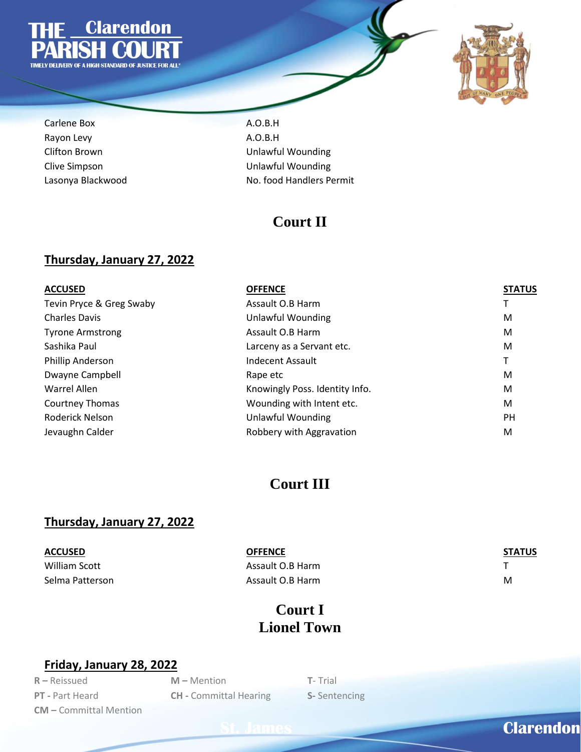



Carlene Box **A.O.B.H** Rayon Levy **A.O.B.H** 

Clifton Brown Unlawful Wounding Clive Simpson Unlawful Wounding Lasonya Blackwood **No. food Handlers Permit** 

### **Court II**

#### **Thursday, January 27, 2022**

| <b>ACCUSED</b>           | <b>OFFENCE</b>                 | <b>STATUS</b> |
|--------------------------|--------------------------------|---------------|
| Tevin Pryce & Greg Swaby | Assault O.B Harm               |               |
| <b>Charles Davis</b>     | Unlawful Wounding              | M             |
| <b>Tyrone Armstrong</b>  | Assault O.B Harm               | M             |
| Sashika Paul             | Larceny as a Servant etc.      | M             |
| Phillip Anderson         | <b>Indecent Assault</b>        | т             |
| Dwayne Campbell          | Rape etc                       | M             |
| Warrel Allen             | Knowingly Poss. Identity Info. | M             |
| Courtney Thomas          | Wounding with Intent etc.      | M             |
| Roderick Nelson          | Unlawful Wounding              | <b>PH</b>     |
| Jevaughn Calder          | Robbery with Aggravation       | M             |

### **Court III**

#### **Thursday, January 27, 2022**

| ACCUSED         | <b>OFFENCE</b>   | <b>STATUS</b> |
|-----------------|------------------|---------------|
| William Scott   | Assault O.B Harm |               |
| Selma Patterson | Assault O.B Harm | м             |

## **Court I Lionel Town**

#### **Friday, January 28, 2022**

**R –** Reissued **M –** Mention **T**- Trial **CM –** Committal Mention

**PT -** Part Heard **CH -** Committal Hearing **S-** Sentencing

# **St. James Clarendon Clarendon**